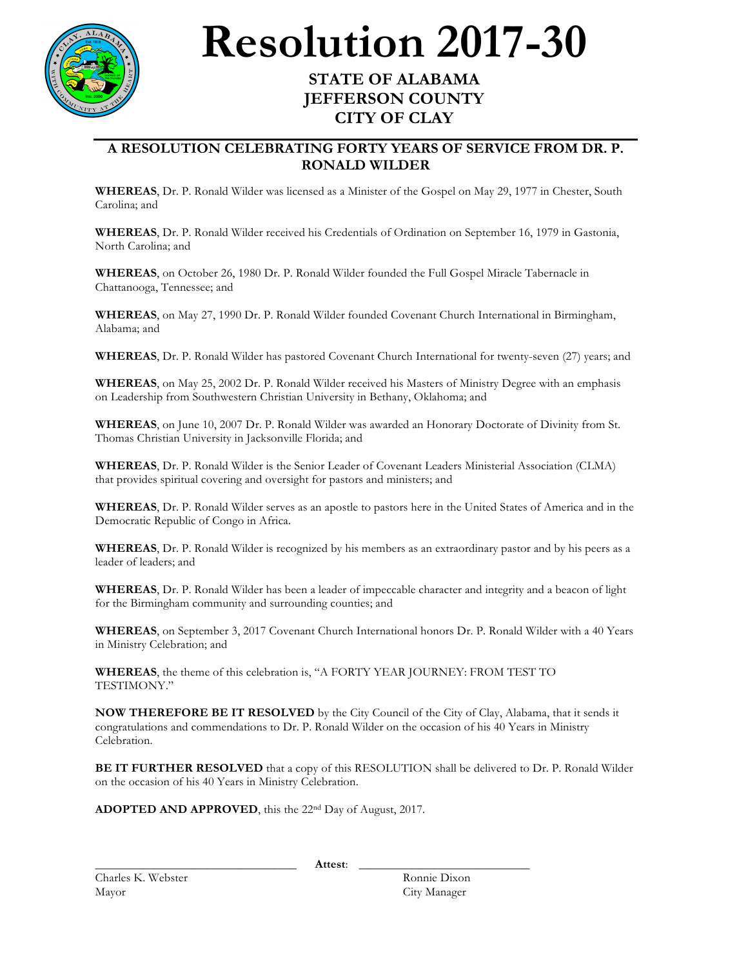

## **Resolution 2017-30 STATE OF ALABAMA**

## **JEFFERSON COUNTY CITY OF CLAY**

## **A RESOLUTION CELEBRATING FORTY YEARS OF SERVICE FROM DR. P. RONALD WILDER**

**WHEREAS**, Dr. P. Ronald Wilder was licensed as a Minister of the Gospel on May 29, 1977 in Chester, South Carolina; and

**WHEREAS**, Dr. P. Ronald Wilder received his Credentials of Ordination on September 16, 1979 in Gastonia, North Carolina; and

**WHEREAS**, on October 26, 1980 Dr. P. Ronald Wilder founded the Full Gospel Miracle Tabernacle in Chattanooga, Tennessee; and

**WHEREAS**, on May 27, 1990 Dr. P. Ronald Wilder founded Covenant Church International in Birmingham, Alabama; and

**WHEREAS**, Dr. P. Ronald Wilder has pastored Covenant Church International for twenty-seven (27) years; and

**WHEREAS**, on May 25, 2002 Dr. P. Ronald Wilder received his Masters of Ministry Degree with an emphasis on Leadership from Southwestern Christian University in Bethany, Oklahoma; and

**WHEREAS**, on June 10, 2007 Dr. P. Ronald Wilder was awarded an Honorary Doctorate of Divinity from St. Thomas Christian University in Jacksonville Florida; and

**WHEREAS**, Dr. P. Ronald Wilder is the Senior Leader of Covenant Leaders Ministerial Association (CLMA) that provides spiritual covering and oversight for pastors and ministers; and

**WHEREAS**, Dr. P. Ronald Wilder serves as an apostle to pastors here in the United States of America and in the Democratic Republic of Congo in Africa.

**WHEREAS**, Dr. P. Ronald Wilder is recognized by his members as an extraordinary pastor and by his peers as a leader of leaders; and

**WHEREAS**, Dr. P. Ronald Wilder has been a leader of impeccable character and integrity and a beacon of light for the Birmingham community and surrounding counties; and

**WHEREAS**, on September 3, 2017 Covenant Church International honors Dr. P. Ronald Wilder with a 40 Years in Ministry Celebration; and

**WHEREAS**, the theme of this celebration is, "A FORTY YEAR JOURNEY: FROM TEST TO TESTIMONY."

**NOW THEREFORE BE IT RESOLVED** by the City Council of the City of Clay, Alabama, that it sends it congratulations and commendations to Dr. P. Ronald Wilder on the occasion of his 40 Years in Ministry Celebration.

**BE IT FURTHER RESOLVED** that a copy of this RESOLUTION shall be delivered to Dr. P. Ronald Wilder on the occasion of his 40 Years in Ministry Celebration.

**ADOPTED AND APPROVED**, this the 22nd Day of August, 2017.

Charles K. Webster Ronnie Dixon Mayor City Manager

\_\_\_\_\_\_\_\_\_\_\_\_\_\_\_\_\_\_\_\_\_\_\_\_\_\_\_\_\_\_\_\_\_ **Attest**: \_\_\_\_\_\_\_\_\_\_\_\_\_\_\_\_\_\_\_\_\_\_\_\_\_\_\_\_